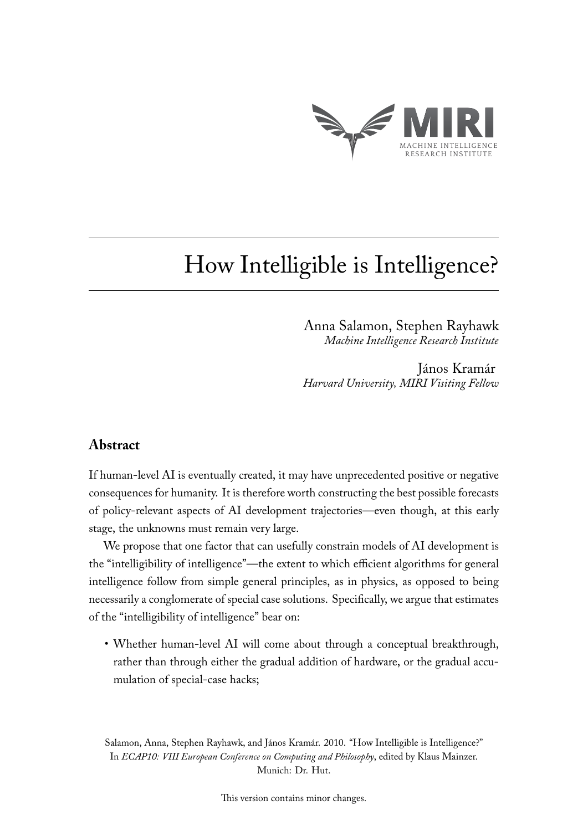

# How Intelligible is Intelligence?

Anna Salamon, Stephen Rayhawk *Machine Intelligence Research Institute*

János Kramár *Harvard University, MIRI Visiting Fellow*

## **Abstract**

If human-level AI is eventually created, it may have unprecedented positive or negative consequences for humanity. It is therefore worth constructing the best possible forecasts of policy-relevant aspects of AI development trajectories—even though, at this early stage, the unknowns must remain very large.

We propose that one factor that can usefully constrain models of AI development is the "intelligibility of intelligence"—the extent to which efficient algorithms for general intelligence follow from simple general principles, as in physics, as opposed to being necessarily a conglomerate of special case solutions. Specifically, we argue that estimates of the "intelligibility of intelligence" bear on:

• Whether human-level AI will come about through a conceptual breakthrough, rather than through either the gradual addition of hardware, or the gradual accumulation of special-case hacks;

Salamon, Anna, Stephen Rayhawk, and János Kramár. 2010. "How Intelligible is Intelligence?" In *ECAP10: VIII European Conference on Computing and Philosophy*, edited by Klaus Mainzer. Munich: Dr. Hut.

This version contains minor changes.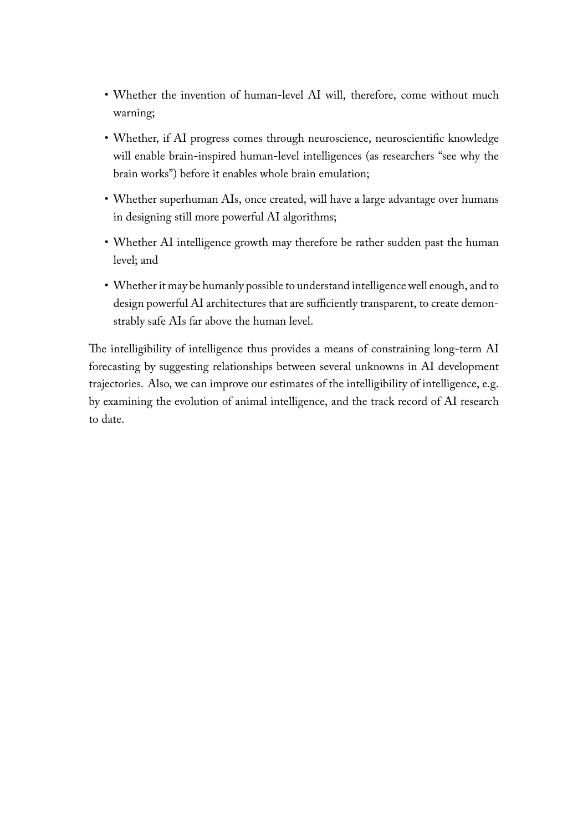- Whether the invention of human-level AI will, therefore, come without much warning;
- Whether, if AI progress comes through neuroscience, neuroscientific knowledge will enable brain-inspired human-level intelligences (as researchers "see why the brain works") before it enables whole brain emulation;
- Whether superhuman AIs, once created, will have a large advantage over humans in designing still more powerful AI algorithms;
- Whether AI intelligence growth may therefore be rather sudden past the human level; and
- Whether it may be humanly possible to understand intelligence well enough, and to design powerful AI architectures that are sufficiently transparent, to create demonstrably safe AIs far above the human level.

The intelligibility of intelligence thus provides a means of constraining long-term AI forecasting by suggesting relationships between several unknowns in AI development trajectories. Also, we can improve our estimates of the intelligibility of intelligence, e.g. by examining the evolution of animal intelligence, and the track record of AI research to date.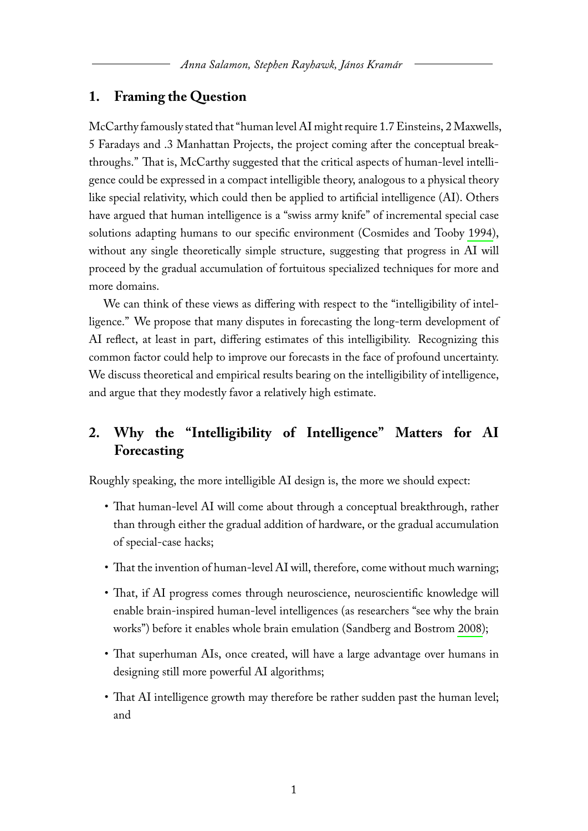# **1. Framing the Question**

McCarthy famously stated that "human level AI might require 1.7 Einsteins, 2 Maxwells, 5 Faradays and .3 Manhattan Projects, the project coming after the conceptual breakthroughs." That is, McCarthy suggested that the critical aspects of human-level intelligence could be expressed in a compact intelligible theory, analogous to a physical theory like special relativity, which could then be applied to artificial intelligence (AI). Others have argued that human intelligence is a "swiss army knife" of incremental special case solutions adapting humans to our specific environment (Cosmides and Tooby [1994\)](#page-7-0), without any single theoretically simple structure, suggesting that progress in AI will proceed by the gradual accumulation of fortuitous specialized techniques for more and more domains.

We can think of these views as differing with respect to the "intelligibility of intelligence." We propose that many disputes in forecasting the long-term development of AI reflect, at least in part, differing estimates of this intelligibility. Recognizing this common factor could help to improve our forecasts in the face of profound uncertainty. We discuss theoretical and empirical results bearing on the intelligibility of intelligence, and argue that they modestly favor a relatively high estimate.

# **2. Why the "Intelligibility of Intelligence" Matters for AI Forecasting**

Roughly speaking, the more intelligible AI design is, the more we should expect:

- That human-level AI will come about through a conceptual breakthrough, rather than through either the gradual addition of hardware, or the gradual accumulation of special-case hacks;
- That the invention of human-level AI will, therefore, come without much warning;
- That, if AI progress comes through neuroscience, neuroscientific knowledge will enable brain-inspired human-level intelligences (as researchers "see why the brain works") before it enables whole brain emulation (Sandberg and Bostrom [2008\)](#page-7-1);
- That superhuman AIs, once created, will have a large advantage over humans in designing still more powerful AI algorithms;
- That AI intelligence growth may therefore be rather sudden past the human level; and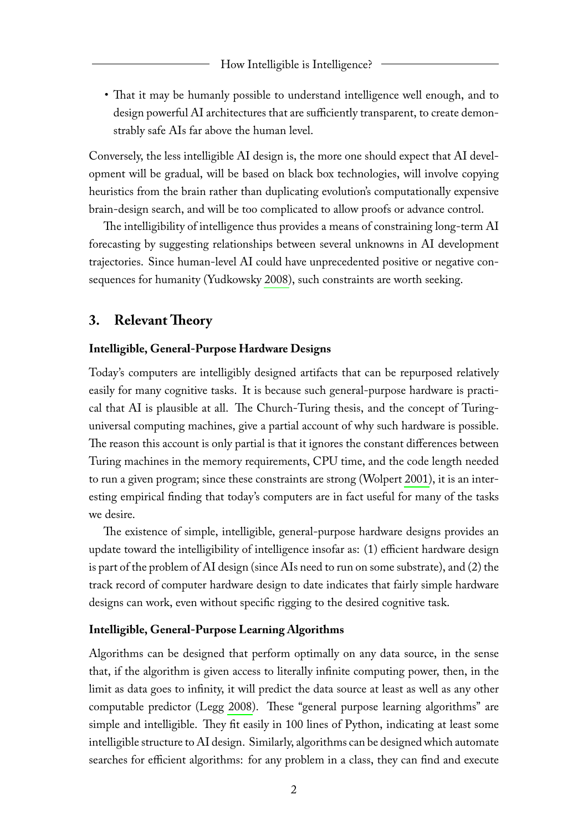• That it may be humanly possible to understand intelligence well enough, and to design powerful AI architectures that are sufficiently transparent, to create demonstrably safe AIs far above the human level.

Conversely, the less intelligible AI design is, the more one should expect that AI development will be gradual, will be based on black box technologies, will involve copying heuristics from the brain rather than duplicating evolution's computationally expensive brain-design search, and will be too complicated to allow proofs or advance control.

The intelligibility of intelligence thus provides a means of constraining long-term AI forecasting by suggesting relationships between several unknowns in AI development trajectories. Since human-level AI could have unprecedented positive or negative consequences for humanity (Yudkowsky [2008\)](#page-7-2), such constraints are worth seeking.

## **3. Relevant Theory**

#### **Intelligible, General-Purpose Hardware Designs**

Today's computers are intelligibly designed artifacts that can be repurposed relatively easily for many cognitive tasks. It is because such general-purpose hardware is practical that AI is plausible at all. The Church-Turing thesis, and the concept of Turinguniversal computing machines, give a partial account of why such hardware is possible. The reason this account is only partial is that it ignores the constant differences between Turing machines in the memory requirements, CPU time, and the code length needed to run a given program; since these constraints are strong (Wolpert [2001\)](#page-7-3), it is an interesting empirical finding that today's computers are in fact useful for many of the tasks we desire.

The existence of simple, intelligible, general-purpose hardware designs provides an update toward the intelligibility of intelligence insofar as: (1) efficient hardware design is part of the problem of AI design (since AIs need to run on some substrate), and (2) the track record of computer hardware design to date indicates that fairly simple hardware designs can work, even without specific rigging to the desired cognitive task.

#### **Intelligible, General-Purpose Learning Algorithms**

Algorithms can be designed that perform optimally on any data source, in the sense that, if the algorithm is given access to literally infinite computing power, then, in the limit as data goes to infinity, it will predict the data source at least as well as any other computable predictor (Legg [2008\)](#page-7-4). These "general purpose learning algorithms" are simple and intelligible. They fit easily in 100 lines of Python, indicating at least some intelligible structure to AI design. Similarly, algorithms can be designed which automate searches for efficient algorithms: for any problem in a class, they can find and execute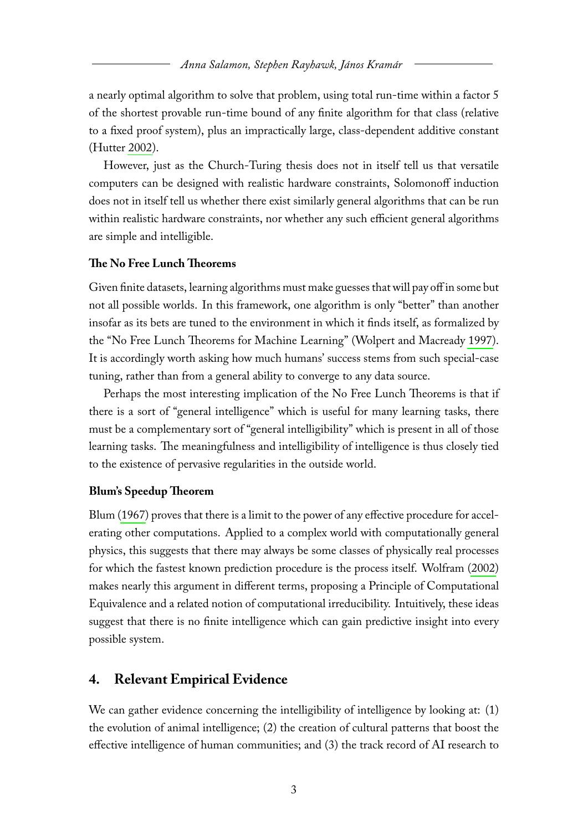a nearly optimal algorithm to solve that problem, using total run-time within a factor 5 of the shortest provable run-time bound of any finite algorithm for that class (relative to a fixed proof system), plus an impractically large, class-dependent additive constant (Hutter [2002\)](#page-7-5).

However, just as the Church-Turing thesis does not in itself tell us that versatile computers can be designed with realistic hardware constraints, Solomonoff induction does not in itself tell us whether there exist similarly general algorithms that can be run within realistic hardware constraints, nor whether any such efficient general algorithms are simple and intelligible.

#### **The No Free Lunch Theorems**

Given finite datasets, learning algorithms must make guesses that will pay off in some but not all possible worlds. In this framework, one algorithm is only "better" than another insofar as its bets are tuned to the environment in which it finds itself, as formalized by the "No Free Lunch Theorems for Machine Learning" (Wolpert and Macready [1997\)](#page-7-6). It is accordingly worth asking how much humans' success stems from such special-case tuning, rather than from a general ability to converge to any data source.

Perhaps the most interesting implication of the No Free Lunch Theorems is that if there is a sort of "general intelligence" which is useful for many learning tasks, there must be a complementary sort of "general intelligibility" which is present in all of those learning tasks. The meaningfulness and intelligibility of intelligence is thus closely tied to the existence of pervasive regularities in the outside world.

#### **Blum's Speedup Theorem**

Blum [\(1967\)](#page-7-7) proves that there is a limit to the power of any effective procedure for accelerating other computations. Applied to a complex world with computationally general physics, this suggests that there may always be some classes of physically real processes for which the fastest known prediction procedure is the process itself. Wolfram [\(2002\)](#page-7-8) makes nearly this argument in different terms, proposing a Principle of Computational Equivalence and a related notion of computational irreducibility. Intuitively, these ideas suggest that there is no finite intelligence which can gain predictive insight into every possible system.

#### **4. Relevant Empirical Evidence**

We can gather evidence concerning the intelligibility of intelligence by looking at: (1) the evolution of animal intelligence; (2) the creation of cultural patterns that boost the effective intelligence of human communities; and (3) the track record of AI research to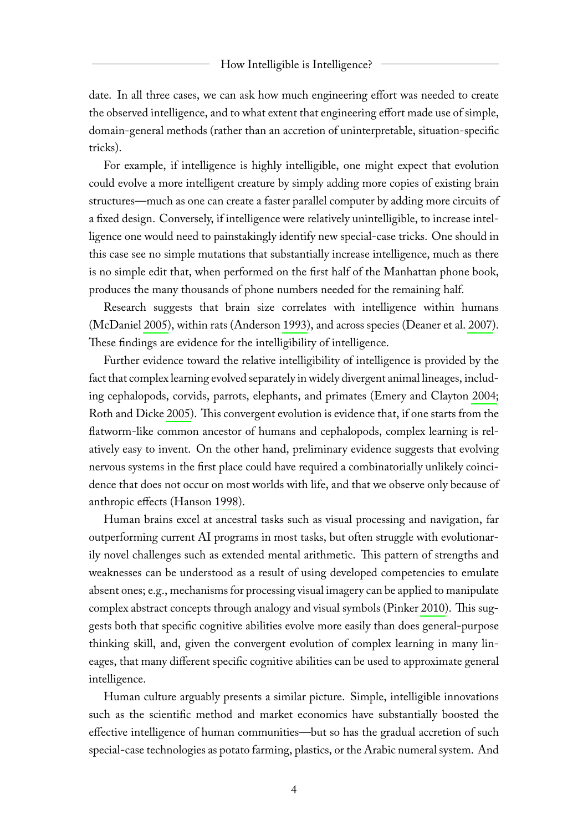#### How Intelligible is Intelligence?

date. In all three cases, we can ask how much engineering effort was needed to create the observed intelligence, and to what extent that engineering effort made use of simple, domain-general methods (rather than an accretion of uninterpretable, situation-specific tricks).

For example, if intelligence is highly intelligible, one might expect that evolution could evolve a more intelligent creature by simply adding more copies of existing brain structures—much as one can create a faster parallel computer by adding more circuits of a fixed design. Conversely, if intelligence were relatively unintelligible, to increase intelligence one would need to painstakingly identify new special-case tricks. One should in this case see no simple mutations that substantially increase intelligence, much as there is no simple edit that, when performed on the first half of the Manhattan phone book, produces the many thousands of phone numbers needed for the remaining half.

Research suggests that brain size correlates with intelligence within humans (McDaniel [2005\)](#page-7-9), within rats (Anderson [1993\)](#page-7-10), and across species (Deaner et al. [2007\)](#page-7-11). These findings are evidence for the intelligibility of intelligence.

Further evidence toward the relative intelligibility of intelligence is provided by the fact that complex learning evolved separately in widely divergent animal lineages, including cephalopods, corvids, parrots, elephants, and primates (Emery and Clayton [2004;](#page-7-12) Roth and Dicke [2005\)](#page-7-13). This convergent evolution is evidence that, if one starts from the flatworm-like common ancestor of humans and cephalopods, complex learning is relatively easy to invent. On the other hand, preliminary evidence suggests that evolving nervous systems in the first place could have required a combinatorially unlikely coincidence that does not occur on most worlds with life, and that we observe only because of anthropic effects (Hanson [1998\)](#page-7-14).

Human brains excel at ancestral tasks such as visual processing and navigation, far outperforming current AI programs in most tasks, but often struggle with evolutionarily novel challenges such as extended mental arithmetic. This pattern of strengths and weaknesses can be understood as a result of using developed competencies to emulate absent ones; e.g., mechanisms for processing visual imagery can be applied to manipulate complex abstract concepts through analogy and visual symbols (Pinker [2010\)](#page-7-15). This suggests both that specific cognitive abilities evolve more easily than does general-purpose thinking skill, and, given the convergent evolution of complex learning in many lineages, that many different specific cognitive abilities can be used to approximate general intelligence.

Human culture arguably presents a similar picture. Simple, intelligible innovations such as the scientific method and market economics have substantially boosted the effective intelligence of human communities—but so has the gradual accretion of such special-case technologies as potato farming, plastics, or the Arabic numeral system. And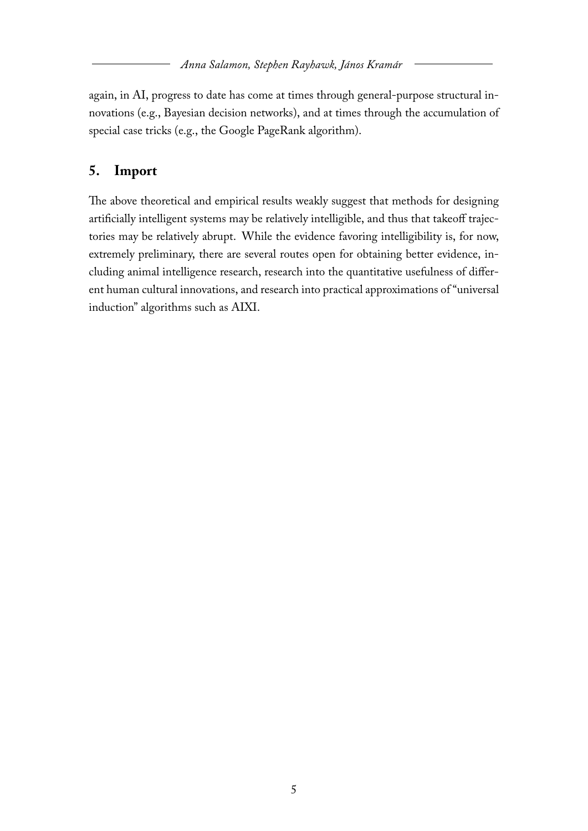again, in AI, progress to date has come at times through general-purpose structural innovations (e.g., Bayesian decision networks), and at times through the accumulation of special case tricks (e.g., the Google PageRank algorithm).

# **5. Import**

The above theoretical and empirical results weakly suggest that methods for designing artificially intelligent systems may be relatively intelligible, and thus that takeoff trajectories may be relatively abrupt. While the evidence favoring intelligibility is, for now, extremely preliminary, there are several routes open for obtaining better evidence, including animal intelligence research, research into the quantitative usefulness of different human cultural innovations, and research into practical approximations of "universal induction" algorithms such as AIXI.